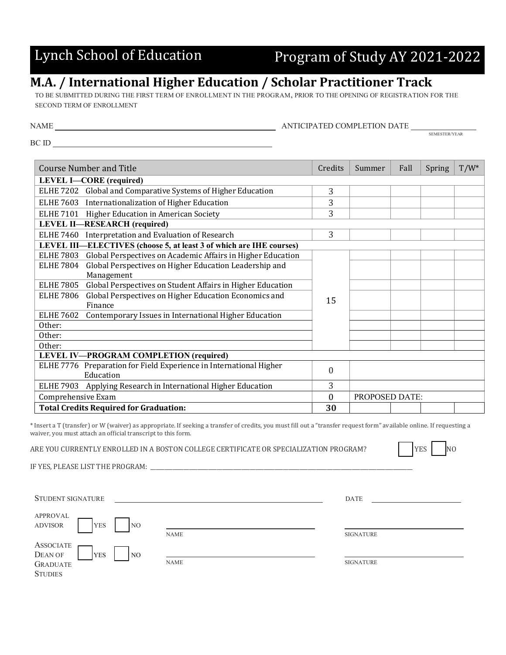## Lynch School of Education Program of Study AY 2021-2022

## **M.A. / International Higher Education / Scholar Practitioner Track**

TO BE SUBMITTED DURING THE FIRST TERM OF ENROLLMENT IN THE PROGRAM, PRIOR TO THE OPENING OF REGISTRATION FOR THE SECOND TERM OF ENROLLMENT

| NAME | ANTICIPATED COMPLETION DATE |                      |
|------|-----------------------------|----------------------|
|      |                             | <b>SEMESTER/YEAR</b> |

BC ID

| <b>Course Number and Title</b>                                                  | Credits          | Summer                | Fall | Spring | $T/W^*$ |
|---------------------------------------------------------------------------------|------------------|-----------------------|------|--------|---------|
| <b>LEVEL I-CORE</b> (required)                                                  |                  |                       |      |        |         |
| Global and Comparative Systems of Higher Education<br><b>ELHE 7202</b>          | 3                |                       |      |        |         |
| <b>ELHE 7603</b><br>Internationalization of Higher Education                    | 3                |                       |      |        |         |
| Higher Education in American Society<br><b>ELHE 7101</b>                        | 3                |                       |      |        |         |
| <b>LEVEL II-RESEARCH</b> (required)                                             |                  |                       |      |        |         |
| Interpretation and Evaluation of Research<br><b>ELHE 7460</b>                   | 3                |                       |      |        |         |
| LEVEL III—ELECTIVES (choose 5, at least 3 of which are IHE courses)             |                  |                       |      |        |         |
| Global Perspectives on Academic Affairs in Higher Education<br><b>ELHE 7803</b> | 15               |                       |      |        |         |
| Global Perspectives on Higher Education Leadership and<br><b>ELHE 7804</b>      |                  |                       |      |        |         |
| Management                                                                      |                  |                       |      |        |         |
| <b>ELHE 7805</b><br>Global Perspectives on Student Affairs in Higher Education  |                  |                       |      |        |         |
| Global Perspectives on Higher Education Economics and<br><b>ELHE 7806</b>       |                  |                       |      |        |         |
| Finance                                                                         |                  |                       |      |        |         |
| <b>ELHE 7602</b><br>Contemporary Issues in International Higher Education       |                  |                       |      |        |         |
| Other:                                                                          |                  |                       |      |        |         |
| Other:                                                                          |                  |                       |      |        |         |
| Other:                                                                          |                  |                       |      |        |         |
| LEVEL IV-PROGRAM COMPLETION (required)                                          |                  |                       |      |        |         |
| ELHE 7776 Preparation for Field Experience in International Higher              | $\Omega$         |                       |      |        |         |
| Education                                                                       |                  |                       |      |        |         |
| ELHE 7903 Applying Research in International Higher Education                   | 3                |                       |      |        |         |
| Comprehensive Exam                                                              | $\boldsymbol{0}$ | <b>PROPOSED DATE:</b> |      |        |         |
| <b>Total Credits Required for Graduation:</b>                                   | 30               |                       |      |        |         |

\* Insert a T (transfer) or W (waiver) as appropriate. If seeking a transfer of credits, you must fill out a "transfer request form" available online. If requesting a waiver, you must attach an official transcript to this form.

ARE YOU CURRENTLY ENROLLED IN A BOSTON COLLEGE CERTIFICATE OR SPECIALIZATION PROGRAM?  $|$   $|$   $|$   $|$   $|$   $\geq$   $|$   $\geq$   $|$   $\geq$   $|$ 

IF YES, PLEASE LIST THE PROGRAM: \_

STUDENT SIGNATURE **DATE** APPROVAL ADVISOR | YES | NO NAME SIGNATURE ASSOCIATE DEAN OF GRADUATE **STUDIES** YES NO NAME SIGNATURE